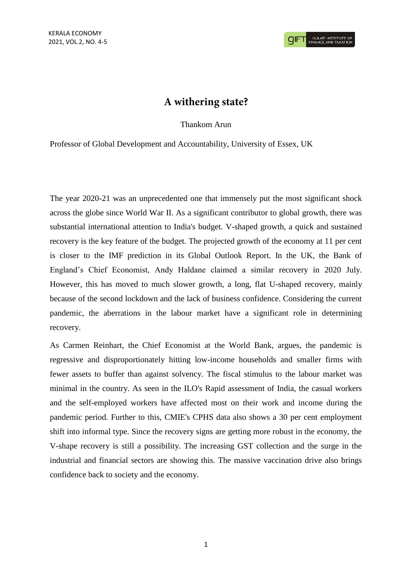## A withering state?

Thankom Arun

Professor of Global Development and Accountability, University of Essex, UK

The year 2020-21 was an unprecedented one that immensely put the most significant shock across the globe since World War II. As a significant contributor to global growth, there was substantial international attention to India's budget. V-shaped growth, a quick and sustained recovery is the key feature of the budget. The projected growth of the economy at 11 per cent is closer to the IMF prediction in its Global Outlook Report. In the UK, the Bank of England's Chief Economist, Andy Haldane claimed a similar recovery in 2020 July. However, this has moved to much slower growth, a long, flat U-shaped recovery, mainly because of the second lockdown and the lack of business confidence. Considering the current pandemic, the aberrations in the labour market have a significant role in determining recovery.

As Carmen Reinhart, the Chief Economist at the World Bank, argues, the pandemic is regressive and disproportionately hitting low-income households and smaller firms with fewer assets to buffer than against solvency. The fiscal stimulus to the labour market was minimal in the country. As seen in the ILO's Rapid assessment of India, the casual workers and the self-employed workers have affected most on their work and income during the pandemic period. Further to this, CMIE's CPHS data also shows a 30 per cent employment shift into informal type. Since the recovery signs are getting more robust in the economy, the V-shape recovery is still a possibility. The increasing GST collection and the surge in the industrial and financial sectors are showing this. The massive vaccination drive also brings confidence back to society and the economy.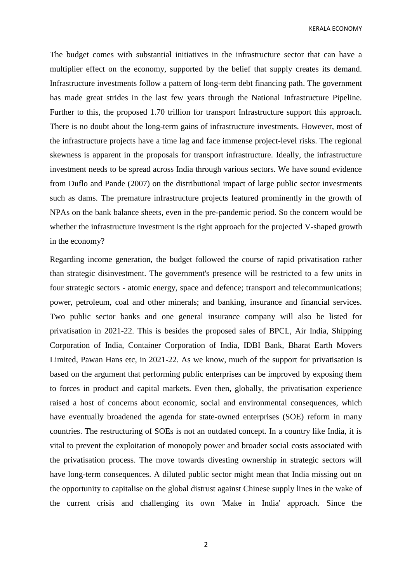KERALA ECONOMY

The budget comes with substantial initiatives in the infrastructure sector that can have a multiplier effect on the economy, supported by the belief that supply creates its demand. Infrastructure investments follow a pattern of long-term debt financing path. The government has made great strides in the last few years through the National Infrastructure Pipeline. Further to this, the proposed 1.70 trillion for transport Infrastructure support this approach. There is no doubt about the long-term gains of infrastructure investments. However, most of the infrastructure projects have a time lag and face immense project-level risks. The regional skewness is apparent in the proposals for transport infrastructure. Ideally, the infrastructure investment needs to be spread across India through various sectors. We have sound evidence from Duflo and Pande (2007) on the distributional impact of large public sector investments such as dams. The premature infrastructure projects featured prominently in the growth of NPAs on the bank balance sheets, even in the pre-pandemic period. So the concern would be whether the infrastructure investment is the right approach for the projected V-shaped growth in the economy?

Regarding income generation, the budget followed the course of rapid privatisation rather than strategic disinvestment. The government's presence will be restricted to a few units in four strategic sectors - atomic energy, space and defence; transport and telecommunications; power, petroleum, coal and other minerals; and banking, insurance and financial services. Two public sector banks and one general insurance company will also be listed for privatisation in 2021-22. This is besides the proposed sales of BPCL, Air India, Shipping Corporation of India, Container Corporation of India, IDBI Bank, Bharat Earth Movers Limited, Pawan Hans etc, in 2021-22. As we know, much of the support for privatisation is based on the argument that performing public enterprises can be improved by exposing them to forces in product and capital markets. Even then, globally, the privatisation experience raised a host of concerns about economic, social and environmental consequences, which have eventually broadened the agenda for state-owned enterprises (SOE) reform in many countries. The restructuring of SOEs is not an outdated concept. In a country like India, it is vital to prevent the exploitation of monopoly power and broader social costs associated with the privatisation process. The move towards divesting ownership in strategic sectors will have long-term consequences. A diluted public sector might mean that India missing out on the opportunity to capitalise on the global distrust against Chinese supply lines in the wake of the current crisis and challenging its own 'Make in India' approach. Since the